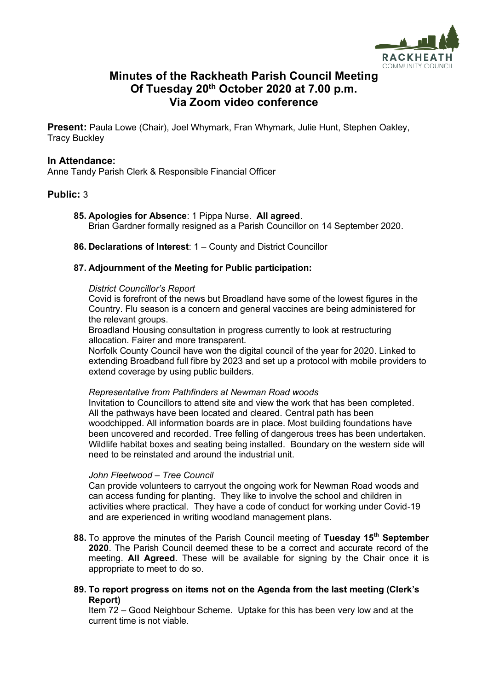

# **Minutes of the Rackheath Parish Council Meeting Of Tuesday 20th October 2020 at 7.00 p.m. Via Zoom video conference**

**Present:** Paula Lowe (Chair), Joel Whymark, Fran Whymark, Julie Hunt, Stephen Oakley, Tracy Buckley

#### **In Attendance:**

Anne Tandy Parish Clerk & Responsible Financial Officer

## **Public:** 3

- **85. Apologies for Absence**: 1 Pippa Nurse. **All agreed**. Brian Gardner formally resigned as a Parish Councillor on 14 September 2020.
- **86. Declarations of Interest**: 1 County and District Councillor

#### **87. Adjournment of the Meeting for Public participation:**

#### *District Councillor's Report*

Covid is forefront of the news but Broadland have some of the lowest figures in the Country. Flu season is a concern and general vaccines are being administered for the relevant groups.

Broadland Housing consultation in progress currently to look at restructuring allocation. Fairer and more transparent.

Norfolk County Council have won the digital council of the year for 2020. Linked to extending Broadband full fibre by 2023 and set up a protocol with mobile providers to extend coverage by using public builders.

#### *Representative from Pathfinders at Newman Road woods*

Invitation to Councillors to attend site and view the work that has been completed. All the pathways have been located and cleared. Central path has been woodchipped. All information boards are in place. Most building foundations have been uncovered and recorded. Tree felling of dangerous trees has been undertaken. Wildlife habitat boxes and seating being installed. Boundary on the western side will need to be reinstated and around the industrial unit.

#### *John Fleetwood – Tree Council*

Can provide volunteers to carryout the ongoing work for Newman Road woods and can access funding for planting. They like to involve the school and children in activities where practical. They have a code of conduct for working under Covid-19 and are experienced in writing woodland management plans.

- **88.** To approve the minutes of the Parish Council meeting of **Tuesday 15 th September 2020**. The Parish Council deemed these to be a correct and accurate record of the meeting. **All Agreed**. These will be available for signing by the Chair once it is appropriate to meet to do so.
- **89. To report progress on items not on the Agenda from the last meeting (Clerk's Report)**

Item 72 – Good Neighbour Scheme. Uptake for this has been very low and at the current time is not viable.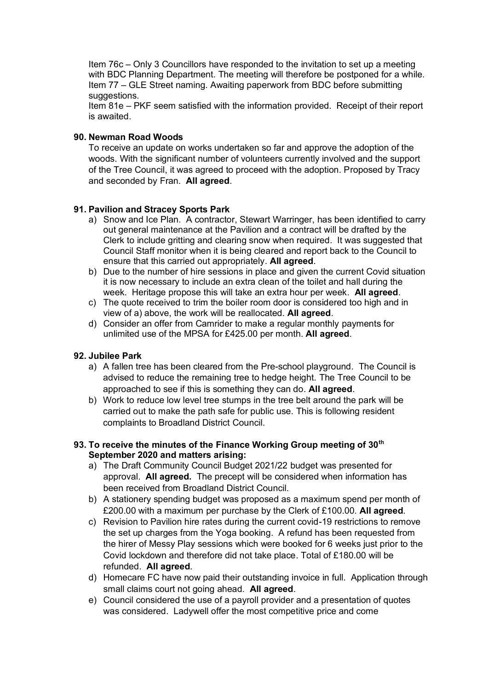Item 76c – Only 3 Councillors have responded to the invitation to set up a meeting with BDC Planning Department. The meeting will therefore be postponed for a while. Item 77 – GLE Street naming. Awaiting paperwork from BDC before submitting suggestions.

Item 81e – PKF seem satisfied with the information provided. Receipt of their report is awaited.

## **90. Newman Road Woods**

To receive an update on works undertaken so far and approve the adoption of the woods. With the significant number of volunteers currently involved and the support of the Tree Council, it was agreed to proceed with the adoption. Proposed by Tracy and seconded by Fran. **All agreed**.

# **91. Pavilion and Stracey Sports Park**

- a) Snow and Ice Plan. A contractor, Stewart Warringer, has been identified to carry out general maintenance at the Pavilion and a contract will be drafted by the Clerk to include gritting and clearing snow when required. It was suggested that Council Staff monitor when it is being cleared and report back to the Council to ensure that this carried out appropriately. **All agreed**.
- b) Due to the number of hire sessions in place and given the current Covid situation it is now necessary to include an extra clean of the toilet and hall during the week. Heritage propose this will take an extra hour per week. **All agreed**.
- c) The quote received to trim the boiler room door is considered too high and in view of a) above, the work will be reallocated. **All agreed**.
- d) Consider an offer from Camrider to make a regular monthly payments for unlimited use of the MPSA for £425.00 per month. **All agreed**.

## **92. Jubilee Park**

- a) A fallen tree has been cleared from the Pre-school playground. The Council is advised to reduce the remaining tree to hedge height. The Tree Council to be approached to see if this is something they can do. **All agreed**.
- b) Work to reduce low level tree stumps in the tree belt around the park will be carried out to make the path safe for public use. This is following resident complaints to Broadland District Council.

## **93. To receive the minutes of the Finance Working Group meeting of 30th September 2020 and matters arising:**

- a) The Draft Community Council Budget 2021/22 budget was presented for approval. **All agreed.** The precept will be considered when information has been received from Broadland District Council.
- b) A stationery spending budget was proposed as a maximum spend per month of £200.00 with a maximum per purchase by the Clerk of £100.00. **All agreed**.
- c) Revision to Pavilion hire rates during the current covid-19 restrictions to remove the set up charges from the Yoga booking. A refund has been requested from the hirer of Messy Play sessions which were booked for 6 weeks just prior to the Covid lockdown and therefore did not take place. Total of £180.00 will be refunded. **All agreed**.
- d) Homecare FC have now paid their outstanding invoice in full. Application through small claims court not going ahead. **All agreed**.
- e) Council considered the use of a payroll provider and a presentation of quotes was considered. Ladywell offer the most competitive price and come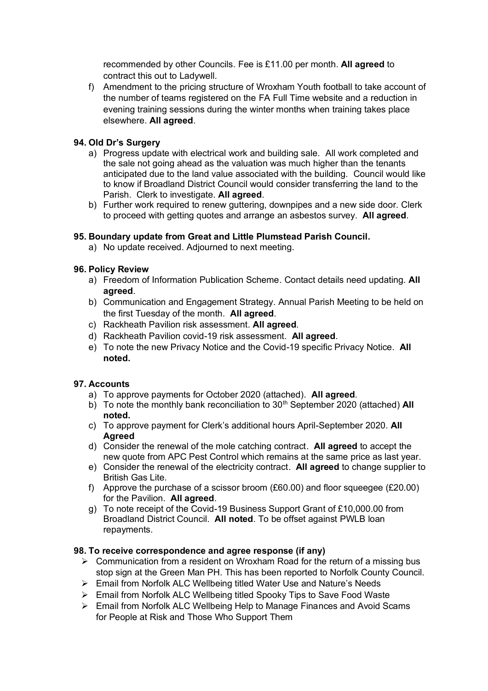recommended by other Councils. Fee is £11.00 per month. **All agreed** to contract this out to Ladywell.

f) Amendment to the pricing structure of Wroxham Youth football to take account of the number of teams registered on the FA Full Time website and a reduction in evening training sessions during the winter months when training takes place elsewhere. **All agreed**.

# **94. Old Dr's Surgery**

- a) Progress update with electrical work and building sale. All work completed and the sale not going ahead as the valuation was much higher than the tenants anticipated due to the land value associated with the building. Council would like to know if Broadland District Council would consider transferring the land to the Parish. Clerk to investigate. **All agreed**.
- b) Further work required to renew guttering, downpipes and a new side door. Clerk to proceed with getting quotes and arrange an asbestos survey. **All agreed**.

# **95. Boundary update from Great and Little Plumstead Parish Council.**

a) No update received. Adjourned to next meeting.

## **96. Policy Review**

- a) Freedom of Information Publication Scheme. Contact details need updating. **All agreed**.
- b) Communication and Engagement Strategy. Annual Parish Meeting to be held on the first Tuesday of the month. **All agreed**.
- c) Rackheath Pavilion risk assessment. **All agreed**.
- d) Rackheath Pavilion covid-19 risk assessment. **All agreed**.
- e) To note the new Privacy Notice and the Covid-19 specific Privacy Notice. **All noted.**

## **97. Accounts**

- a) To approve payments for October 2020 (attached). **All agreed**.
- b) To note the monthly bank reconciliation to 30<sup>th</sup> September 2020 (attached) All **noted.**
- c) To approve payment for Clerk's additional hours April-September 2020. **All Agreed**
- d) Consider the renewal of the mole catching contract. **All agreed** to accept the new quote from APC Pest Control which remains at the same price as last year.
- e) Consider the renewal of the electricity contract. **All agreed** to change supplier to British Gas Lite.
- f) Approve the purchase of a scissor broom  $(E60.00)$  and floor squeegee  $(E20.00)$ for the Pavilion. **All agreed**.
- g) To note receipt of the Covid-19 Business Support Grant of £10,000.00 from Broadland District Council. **All noted**. To be offset against PWLB loan repayments.

## **98. To receive correspondence and agree response (if any)**

- $\triangleright$  Communication from a resident on Wroxham Road for the return of a missing bus stop sign at the Green Man PH. This has been reported to Norfolk County Council.
- ➢ Email from Norfolk ALC Wellbeing titled Water Use and Nature's Needs
- ➢ Email from Norfolk ALC Wellbeing titled Spooky Tips to Save Food Waste
- ➢ Email from Norfolk ALC Wellbeing Help to Manage Finances and Avoid Scams for People at Risk and Those Who Support Them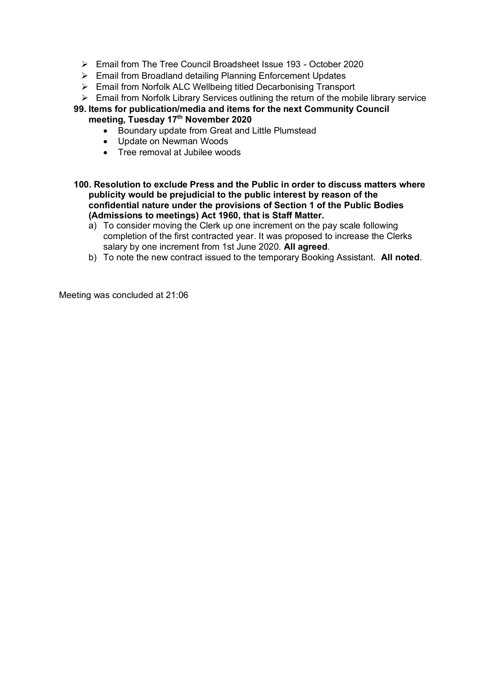- ➢ Email from The Tree Council Broadsheet Issue 193 October 2020
- ➢ Email from Broadland detailing Planning Enforcement Updates
- ➢ Email from Norfolk ALC Wellbeing titled Decarbonising Transport
- ➢ Email from Norfolk Library Services outlining the return of the mobile library service

## **99. Items for publication/media and items for the next Community Council meeting, Tuesday 17th November 2020**

- Boundary update from Great and Little Plumstead
- Update on Newman Woods
- Tree removal at Jubilee woods
- **100. Resolution to exclude Press and the Public in order to discuss matters where publicity would be prejudicial to the public interest by reason of the confidential nature under the provisions of Section 1 of the Public Bodies (Admissions to meetings) Act 1960, that is Staff Matter.**
	- a) To consider moving the Clerk up one increment on the pay scale following completion of the first contracted year. It was proposed to increase the Clerks salary by one increment from 1st June 2020. **All agreed**.
	- b) To note the new contract issued to the temporary Booking Assistant. **All noted**.

Meeting was concluded at 21:06